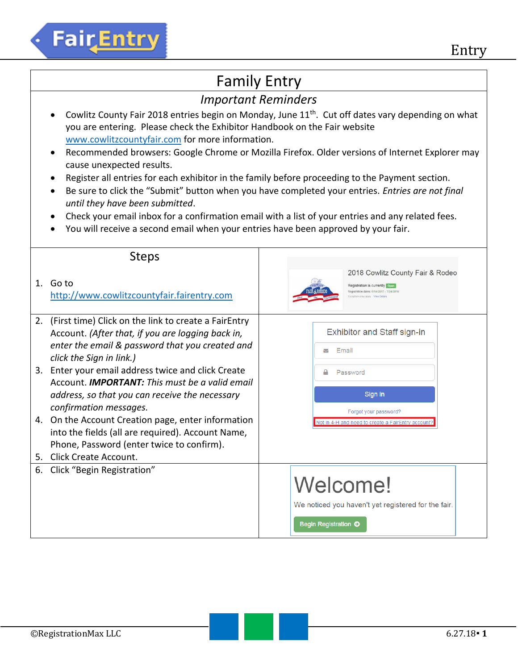# **Fair**Entry

### Family Entry

### *Important Reminders*

- Cowlitz County Fair 2018 entries begin on Monday, June  $11<sup>th</sup>$ . Cut off dates vary depending on what you are entering. Please check the Exhibitor Handbook on the Fair website [www.cowlitzcountyfair.com](http://www.cowlitzcountyfair.com/) for more information.
- Recommended browsers: Google Chrome or Mozilla Firefox. Older versions of Internet Explorer may cause unexpected results.
- Register all entries for each exhibitor in the family before proceeding to the Payment section.
- Be sure to click the "Submit" button when you have completed your entries. *Entries are not final until they have been submitted*.
- Check your email inbox for a confirmation email with a list of your entries and any related fees.
- You will receive a second email when your entries have been approved by your fair.

|    | <b>Steps</b>                                                                                                                                                                             |                                                                                                                                                     |
|----|------------------------------------------------------------------------------------------------------------------------------------------------------------------------------------------|-----------------------------------------------------------------------------------------------------------------------------------------------------|
|    | 1. Go to<br>http://www.cowlitzcountyfair.fairentry.com                                                                                                                                   | 2018 Cowlitz County Fair & Rodeo<br>Registration is currently open<br>Registration dates: 6/14/2017 - 7/24/2018<br>Exceptions may apply View Detail |
| 2. | (First time) Click on the link to create a FairEntry<br>Account. (After that, if you are logging back in,<br>enter the email & password that you created and<br>click the Sign in link.) | <b>Exhibitor and Staff sign-in</b><br>Email<br>▽                                                                                                    |
|    | 3. Enter your email address twice and click Create<br>Account. <b>IMPORTANT:</b> This must be a valid email<br>address, so that you can receive the necessary<br>confirmation messages.  | Password<br>Sign in<br>Forgot your password?                                                                                                        |
|    | 4. On the Account Creation page, enter information<br>into the fields (all are required). Account Name,<br>Phone, Password (enter twice to confirm).<br>5. Click Create Account.         | Vot in 4-H and need to create a FairEntry account                                                                                                   |
| 6. | Click "Begin Registration"                                                                                                                                                               | Welcome!<br>We noticed you haven't yet registered for the fair.<br>Begin Registration O                                                             |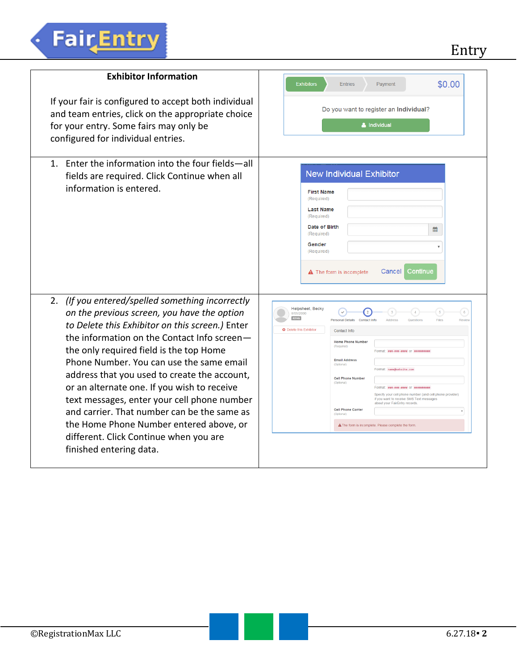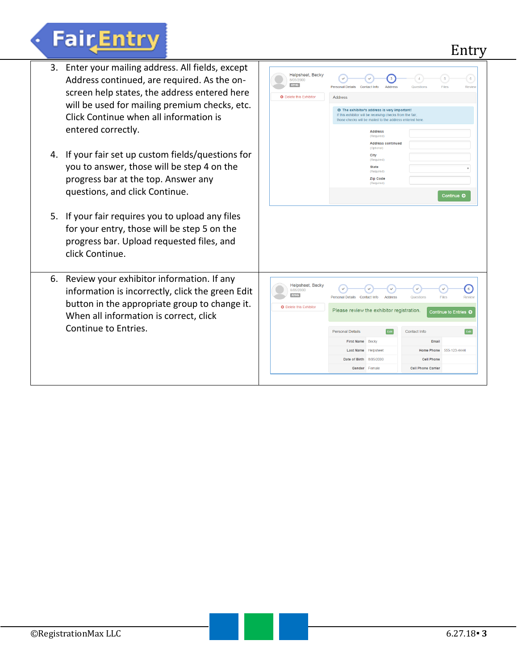## **FairEntry**

3. Enter your mailing address. All fields, except Helpsheet, Becky Address continued, are required. As the on- $\odot$  $\Theta$  $\odot$  $\left( \begin{array}{c} 4 \end{array} \right)$  $\left( 5\right)$  $\left( 6\right)$  $#2145$ Personal Details Contact Info Address  $\sqrt{2}$ Questions Files **Dovie** screen help states, the address entered here O Delete this Exhibitor Address will be used for mailing premium checks, etc. **O** The exhibitor's address is very important! Click Continue when all information is If this exhibitor will be receiving checks from the fa those checks will be mailed to the address entered her entered correctly. **Address Address continued** 4. If your fair set up custom fields/questions for City<br>(Required) you to answer, those will be step 4 on the State progress bar at the top. Answer any Zip Code questions, and click Continue. Continue **O** 5. If your fair requires you to upload any files for your entry, those will be step 5 on the progress bar. Upload requested files, and click Continue. 6. Review your exhibitor information. If any Helpsheet, Becky  $\odot$  $\odot$  $\bf{O}$  $\odot$  $\odot$ information is incorrectly, click the green Edit  $#2145$ Personal Details Contact Info Address Question button in the appropriate group to change it. **O** Delete this Exhibitor Please review the exhibitor registration. ക When all information is correct, click Continue to Entries.Personal Details Edit Contact Info Edit First Name Becky Email Last Name Helpsheet Home Phone 555-123-4444 Date of Birth 8/05/2000 **Cell Phone** Gender Female **Cell Phone Carrier**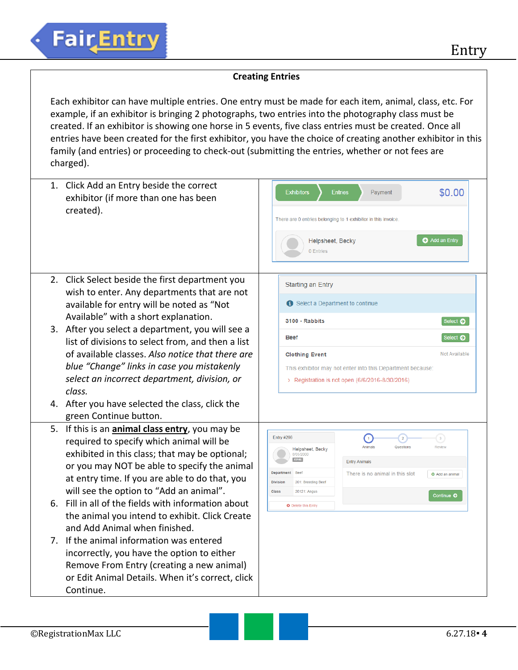#### **Creating Entries**

Each exhibitor can have multiple entries. One entry must be made for each item, animal, class, etc. For example, if an exhibitor is bringing 2 photographs, two entries into the photography class must be created. If an exhibitor is showing one horse in 5 events, five class entries must be created. Once all entries have been created for the first exhibitor, you have the choice of creating another exhibitor in this family (and entries) or proceeding to check-out (submitting the entries, whether or not fees are charged).

| 1. Click Add an Entry beside the correct<br>exhibitor (if more than one has been<br>created).                                                                                                                                                                                                                                                                                                                                                                                                                                                                                                                                                | <b>Exhibitors</b><br>\$0.00<br><b>Entries</b><br>Payment<br>There are 0 entries belonging to 1 exhibitor in this invoice<br>Add an Entry<br>Helpsheet, Becky<br>0 Entries                                                                                                                                                                                                                              |
|----------------------------------------------------------------------------------------------------------------------------------------------------------------------------------------------------------------------------------------------------------------------------------------------------------------------------------------------------------------------------------------------------------------------------------------------------------------------------------------------------------------------------------------------------------------------------------------------------------------------------------------------|--------------------------------------------------------------------------------------------------------------------------------------------------------------------------------------------------------------------------------------------------------------------------------------------------------------------------------------------------------------------------------------------------------|
| 2. Click Select beside the first department you<br>wish to enter. Any departments that are not<br>available for entry will be noted as "Not<br>Available" with a short explanation.<br>3. After you select a department, you will see a<br>list of divisions to select from, and then a list<br>of available classes. Also notice that there are                                                                                                                                                                                                                                                                                             | <b>Starting an Entry</b><br>Select a Department to continue<br>3100 - Rabbits<br>Select $\bullet$<br>Select $\bullet$<br><b>Beef</b><br>Not Available<br><b>Clothing Event</b>                                                                                                                                                                                                                         |
| blue "Change" links in case you mistakenly<br>select an incorrect department, division, or<br>class.<br>4. After you have selected the class, click the<br>green Continue button.                                                                                                                                                                                                                                                                                                                                                                                                                                                            | This exhibitor may not enter into this Department because:<br>> Registration is not open (6/6/2016-8/30/2016)                                                                                                                                                                                                                                                                                          |
| 5. If this is an animal class entry, you may be<br>required to specify which animal will be<br>exhibited in this class; that may be optional;<br>or you may NOT be able to specify the animal<br>at entry time. If you are able to do that, you<br>will see the option to "Add an animal".<br>6. Fill in all of the fields with information about<br>the animal you intend to exhibit. Click Create<br>and Add Animal when finished.<br>7. If the animal information was entered<br>incorrectly, you have the option to either<br>Remove From Entry (creating a new animal)<br>or Edit Animal Details. When it's correct, click<br>Continue. | <b>Entry #266</b><br>$\left( 1\right)$<br>$\begin{pmatrix} 3 \end{pmatrix}$<br>$\overline{2}$<br>Animals<br>Questions<br>Review<br>Helpsheet, Becky<br>8/05/2000<br>#2145<br><b>Entry Animals</b><br><b>Department</b> Beef<br>There is no animal in this slot<br><b>O</b> Add an animal<br><b>Division</b><br>201: Breeding Beef<br>Class<br>20121: Angus<br>Continue O<br><b>Q</b> Delete this Entry |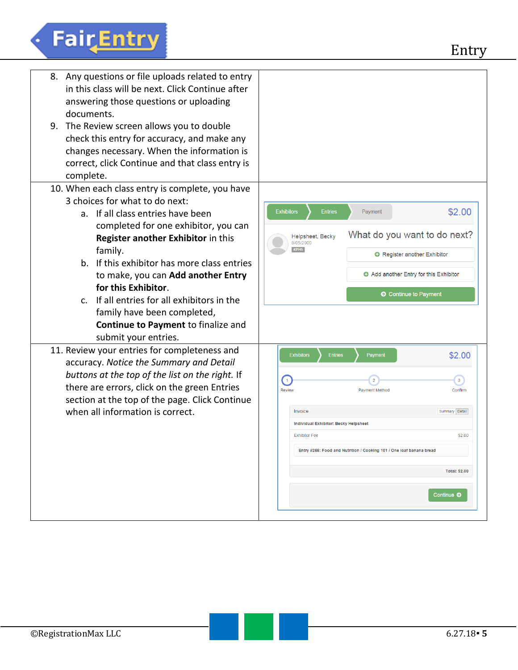# Fair Entry

| 8. Any questions or file uploads related to entry<br>in this class will be next. Click Continue after<br>answering those questions or uploading<br>documents.<br>9. The Review screen allows you to double<br>check this entry for accuracy, and make any<br>changes necessary. When the information is<br>correct, click Continue and that class entry is<br>complete.                                                                                                  |                                                                                                                                                                                                                                                                                                                                                                                            |
|--------------------------------------------------------------------------------------------------------------------------------------------------------------------------------------------------------------------------------------------------------------------------------------------------------------------------------------------------------------------------------------------------------------------------------------------------------------------------|--------------------------------------------------------------------------------------------------------------------------------------------------------------------------------------------------------------------------------------------------------------------------------------------------------------------------------------------------------------------------------------------|
| 10. When each class entry is complete, you have<br>3 choices for what to do next:<br>a. If all class entries have been<br>completed for one exhibitor, you can<br>Register another Exhibitor in this<br>family.<br>b. If this exhibitor has more class entries<br>to make, you can Add another Entry<br>for this Exhibitor.<br>c. If all entries for all exhibitors in the<br>family have been completed,<br>Continue to Payment to finalize and<br>submit your entries. | \$2.00<br><b>Exhibitors</b><br><b>Entries</b><br>Payment<br>What do you want to do next?<br>Helpsheet, Becky<br>8/05/2000<br>#2145<br>Register another Exhibitor<br>Add another Entry for this Exhibitor<br>C Continue to Payment                                                                                                                                                          |
| 11. Review your entries for completeness and<br>accuracy. Notice the Summary and Detail<br>buttons at the top of the list on the right. If<br>there are errors, click on the green Entries<br>section at the top of the page. Click Continue<br>when all information is correct.                                                                                                                                                                                         | \$2.00<br><b>Exhibitors</b><br><b>Entries</b><br>Payment<br>$\left( 1\right)$<br>$\mathbf{3}$<br>$\overline{2}$<br><b>Review</b><br><b>Payment Method</b><br>Confirm<br>Invoice<br>Summary Detail<br>Individual Exhibitor: Becky Helpsheet<br><b>Exhibitor Fee</b><br>\$2.00<br>Entry #266: Food and Nutrition / Cooking 101 / One loaf banana bread<br><b>Total: \$2.00</b><br>Continue O |